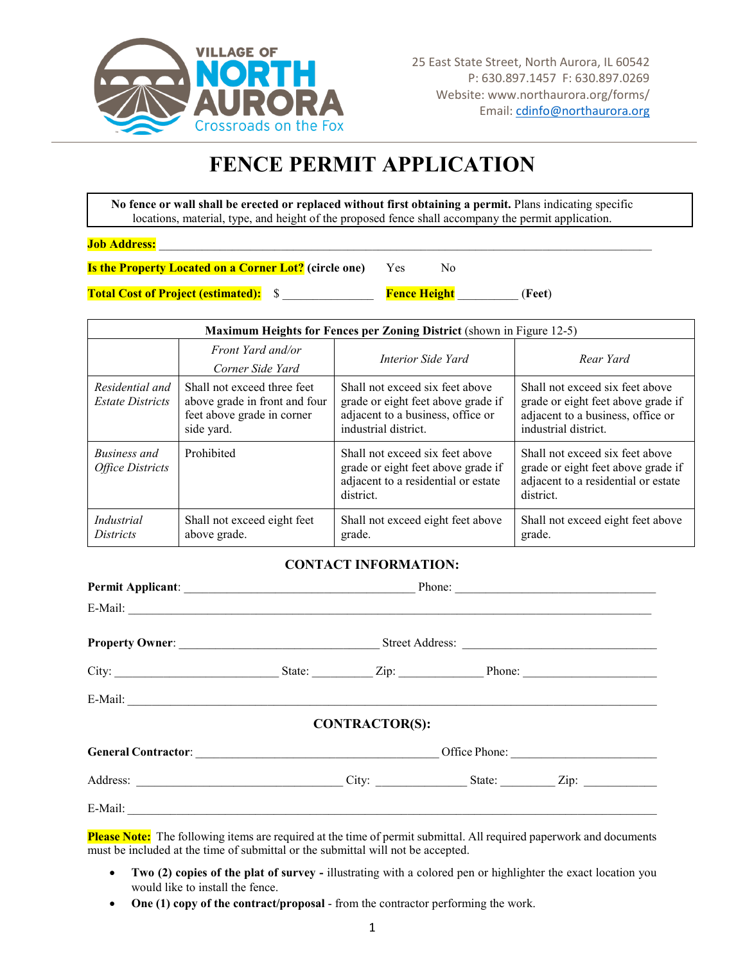

## **FENCE PERMIT APPLICATION**

**No fence or wall shall be erected or replaced without first obtaining a permit.** Plans indicating specific locations, material, type, and height of the proposed fence shall accompany the permit application.

 $Job$  Address:

**Is the Property Located on a Corner Lot?** (circle one) Yes No

**Total Cost of Project (estimated):** \$ \_\_\_\_\_\_\_\_\_\_\_\_\_\_\_ **Fence Height** \_\_\_\_\_\_\_\_\_\_ (**Feet**)

| <b>Maximum Heights for Fences per Zoning District</b> (shown in Figure 12-5) |                                                                                                          |                                                                                                                                    |                                                                                                                                    |  |  |  |
|------------------------------------------------------------------------------|----------------------------------------------------------------------------------------------------------|------------------------------------------------------------------------------------------------------------------------------------|------------------------------------------------------------------------------------------------------------------------------------|--|--|--|
|                                                                              | Front Yard and/or<br>Corner Side Yard                                                                    | Interior Side Yard                                                                                                                 | Rear Yard                                                                                                                          |  |  |  |
| Residential and<br><i>Estate Districts</i>                                   | Shall not exceed three feet<br>above grade in front and four<br>feet above grade in corner<br>side yard. | Shall not exceed six feet above<br>grade or eight feet above grade if<br>adjacent to a business, office or<br>industrial district. | Shall not exceed six feet above<br>grade or eight feet above grade if<br>adjacent to a business, office or<br>industrial district. |  |  |  |
| Business and<br><b>Office Districts</b>                                      | Prohibited                                                                                               | Shall not exceed six feet above<br>grade or eight feet above grade if<br>adjacent to a residential or estate<br>district.          | Shall not exceed six feet above<br>grade or eight feet above grade if<br>adjacent to a residential or estate<br>district.          |  |  |  |
| Industrial<br><i>Districts</i>                                               | Shall not exceed eight feet<br>above grade.                                                              | Shall not exceed eight feet above<br>grade.                                                                                        | Shall not exceed eight feet above<br>grade.                                                                                        |  |  |  |

## **CONTACT INFORMATION:**

| $E-Mail:$ |  |                       |  |               |  |
|-----------|--|-----------------------|--|---------------|--|
|           |  |                       |  |               |  |
|           |  |                       |  |               |  |
| $E-Mail:$ |  |                       |  |               |  |
|           |  | <b>CONTRACTOR(S):</b> |  |               |  |
|           |  |                       |  | Office Phone: |  |
|           |  |                       |  |               |  |
|           |  |                       |  |               |  |

**Please Note:** The following items are required at the time of permit submittal. All required paperwork and documents must be included at the time of submittal or the submittal will not be accepted.

- **Two (2) copies of the plat of survey -** illustrating with a colored pen or highlighter the exact location you would like to install the fence.
- **One (1) copy of the contract/proposal** from the contractor performing the work.